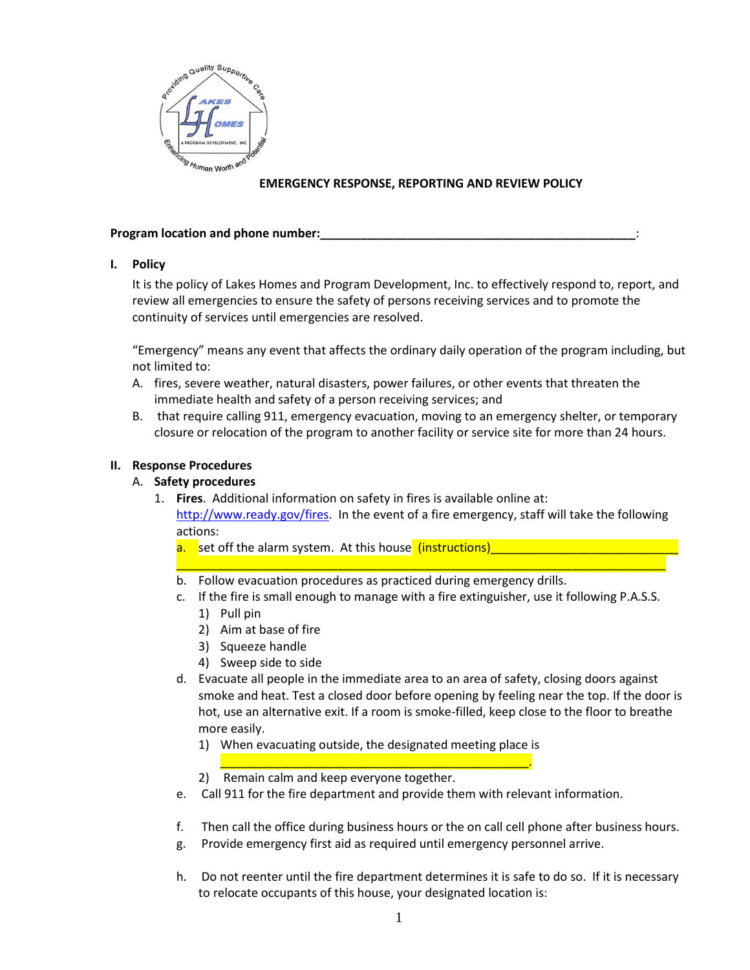

# **EMERGENCY RESPONSE, REPORTING AND REVIEW POLICY**

#### **Program location and phone number:**

### **I. Policy**

It is the policy of Lakes Homes and Program Development, Inc. to effectively respond to, report, and review all emergencies to ensure the safety of persons receiving services and to promote the continuity of services until emergencies are resolved.

"Emergency" means any event that affects the ordinary daily operation of the program including, but not limited to:

- A. fires, severe weather, natural disasters, power failures, or other events that threaten the immediate health and safety of a person receiving services; and
- B. that require calling 911, emergency evacuation, moving to an emergency shelter, or temporary closure or relocation of the program to another facility or service site for more than 24 hours.

### **II. Response Procedures**

- A. **Safety procedures**
	- 1. **Fires**. Additional information on safety in fires is available online at: [http://www.ready.gov/fires.](http://www.ready.gov/fires) In the event of a fire emergency, staff will take the following actions:
		- a. set off the alarm system. At this house (instructions)
		- b. Follow evacuation procedures as practiced during emergency drills.
		- c. If the fire is small enough to manage with a fire extinguisher, use it following P.A.S.S.

\_\_\_\_\_\_\_\_\_\_\_\_\_\_\_\_\_\_\_\_\_\_\_\_\_\_\_\_\_\_\_\_\_\_\_\_\_\_\_\_\_\_\_\_\_\_\_\_\_\_\_\_\_\_\_\_\_\_\_\_\_\_\_\_\_\_\_\_\_\_\_\_\_

- 1) Pull pin
- 2) Aim at base of fire
- 3) Squeeze handle
- 4) Sweep side to side
- d. Evacuate all people in the immediate area to an area of safety, closing doors against smoke and heat. Test a closed door before opening by feeling near the top. If the door is hot, use an alternative exit. If a room is smoke-filled, keep close to the floor to breathe more easily.
	- 1) When evacuating outside, the designated meeting place is \_\_\_\_\_\_\_\_\_\_\_\_\_\_\_\_\_\_\_\_\_\_\_\_\_\_\_\_\_\_\_\_\_\_\_\_\_\_\_\_\_\_\_\_\_\_.
	- 2) Remain calm and keep everyone together.
- e. Call 911 for the fire department and provide them with relevant information.
- f. Then call the office during business hours or the on call cell phone after business hours.
- g. Provide emergency first aid as required until emergency personnel arrive.
- h. Do not reenter until the fire department determines it is safe to do so. If it is necessary to relocate occupants of this house, your designated location is: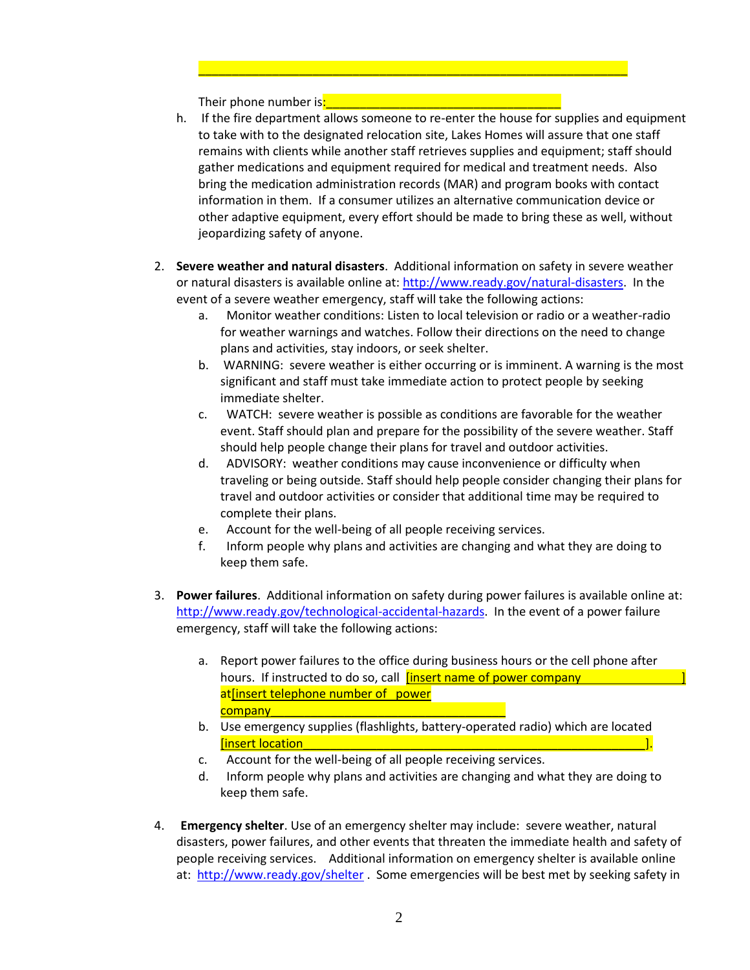Their phone number is:

h. If the fire department allows someone to re-enter the house for supplies and equipment to take with to the designated relocation site, Lakes Homes will assure that one staff remains with clients while another staff retrieves supplies and equipment; staff should gather medications and equipment required for medical and treatment needs. Also bring the medication administration records (MAR) and program books with contact information in them. If a consumer utilizes an alternative communication device or other adaptive equipment, every effort should be made to bring these as well, without jeopardizing safety of anyone.

\_\_\_\_\_\_\_\_\_\_\_\_\_\_\_\_\_\_\_\_\_\_\_\_\_\_\_\_\_\_\_\_\_\_\_\_\_\_\_\_\_\_\_\_\_\_\_\_\_\_\_\_\_\_\_\_\_\_\_\_\_\_\_\_

- 2. **Severe weather and natural disasters**. Additional information on safety in severe weather or natural disasters is available online at: [http://www.ready.gov/natural-disasters.](http://www.ready.gov/natural-disasters) In the event of a severe weather emergency, staff will take the following actions:
	- a.Monitor weather conditions: Listen to local television or radio or a weather-radio for weather warnings and watches. Follow their directions on the need to change plans and activities, stay indoors, or seek shelter.
	- b. WARNING: severe weather is either occurring or is imminent. A warning is the most significant and staff must take immediate action to protect people by seeking immediate shelter.
	- c. WATCH: severe weather is possible as conditions are favorable for the weather event. Staff should plan and prepare for the possibility of the severe weather. Staff should help people change their plans for travel and outdoor activities.
	- d. ADVISORY: weather conditions may cause inconvenience or difficulty when traveling or being outside. Staff should help people consider changing their plans for travel and outdoor activities or consider that additional time may be required to complete their plans.
	- e. Account for the well-being of all people receiving services.
	- f. Inform people why plans and activities are changing and what they are doing to keep them safe.
- 3. **Power failures**. Additional information on safety during power failures is available online at: [http://www.ready.gov/technological-accidental-hazards.](http://www.ready.gov/technological-accidental-hazards) In the event of a power failure emergency, staff will take the following actions:
	- a. Report power failures to the office during business hours or the cell phone after hours. If instructed to do so, call **[insert name of power company** at[insert telephone number of power company\_
	- b. Use emergency supplies (flashlights, battery-operated radio) which are located [insert location\_\_\_\_\_\_\_\_\_\_\_\_\_\_\_\_\_\_\_\_\_\_\_\_\_\_\_\_\_\_\_\_\_\_\_\_\_\_\_\_\_\_\_\_\_\_\_\_\_\_\_].
	- c. Account for the well-being of all people receiving services.
	- d. Inform people why plans and activities are changing and what they are doing to keep them safe.
- 4. **Emergency shelter**. Use of an emergency shelter may include: severe weather, natural disasters, power failures, and other events that threaten the immediate health and safety of people receiving services. Additional information on emergency shelter is available online at: <http://www.ready.gov/shelter> . Some emergencies will be best met by seeking safety in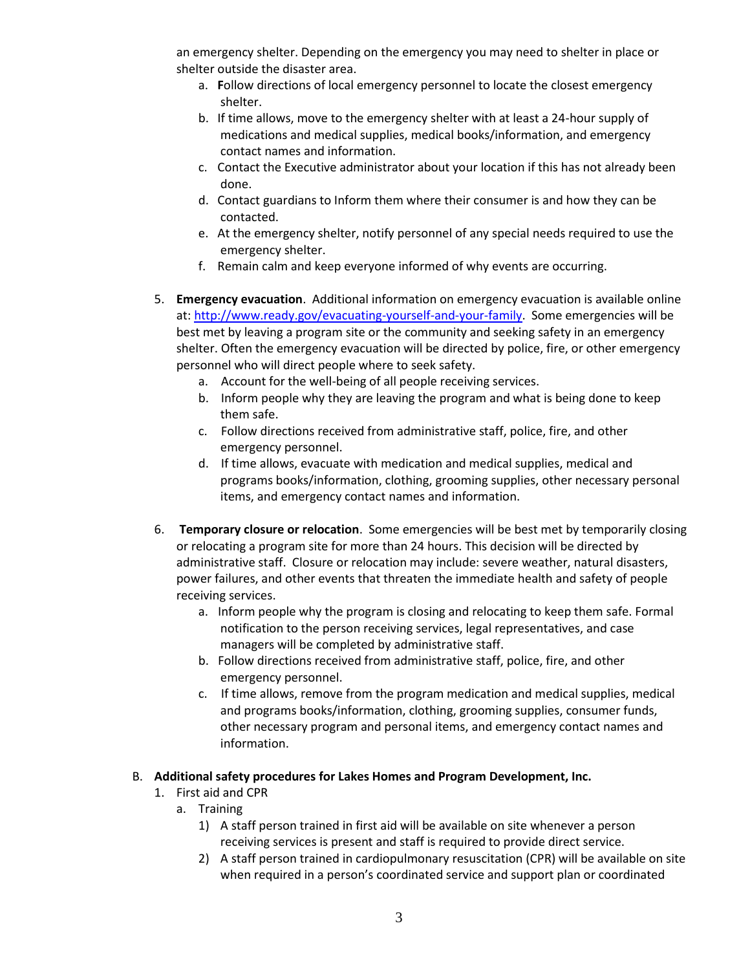an emergency shelter. Depending on the emergency you may need to shelter in place or shelter outside the disaster area.

- a. **F**ollow directions of local emergency personnel to locate the closest emergency shelter.
- b. If time allows, move to the emergency shelter with at least a 24-hour supply of medications and medical supplies, medical books/information, and emergency contact names and information.
- c. Contact the Executive administrator about your location if this has not already been done.
- d. Contact guardians to Inform them where their consumer is and how they can be contacted.
- e. At the emergency shelter, notify personnel of any special needs required to use the emergency shelter.
- f. Remain calm and keep everyone informed of why events are occurring.
- 5. **Emergency evacuation**. Additional information on emergency evacuation is available online at: [http://www.ready.gov/evacuating-yourself-and-your-family.](http://www.ready.gov/evacuating-yourself-and-your-family) Some emergencies will be best met by leaving a program site or the community and seeking safety in an emergency shelter. Often the emergency evacuation will be directed by police, fire, or other emergency personnel who will direct people where to seek safety.
	- a. Account for the well-being of all people receiving services.
	- b. Inform people why they are leaving the program and what is being done to keep them safe.
	- c. Follow directions received from administrative staff, police, fire, and other emergency personnel.
	- d. If time allows, evacuate with medication and medical supplies, medical and programs books/information, clothing, grooming supplies, other necessary personal items, and emergency contact names and information.
- 6. **Temporary closure or relocation**. Some emergencies will be best met by temporarily closing or relocating a program site for more than 24 hours. This decision will be directed by administrative staff. Closure or relocation may include: severe weather, natural disasters, power failures, and other events that threaten the immediate health and safety of people receiving services.
	- a. Inform people why the program is closing and relocating to keep them safe. Formal notification to the person receiving services, legal representatives, and case managers will be completed by administrative staff.
	- b. Follow directions received from administrative staff, police, fire, and other emergency personnel.
	- c. If time allows, remove from the program medication and medical supplies, medical and programs books/information, clothing, grooming supplies, consumer funds, other necessary program and personal items, and emergency contact names and information.

# B. **Additional safety procedures for Lakes Homes and Program Development, Inc.**

- 1. First aid and CPR
	- a. Training
		- 1) A staff person trained in first aid will be available on site whenever a person receiving services is present and staff is required to provide direct service.
		- 2) A staff person trained in cardiopulmonary resuscitation (CPR) will be available on site when required in a person's coordinated service and support plan or coordinated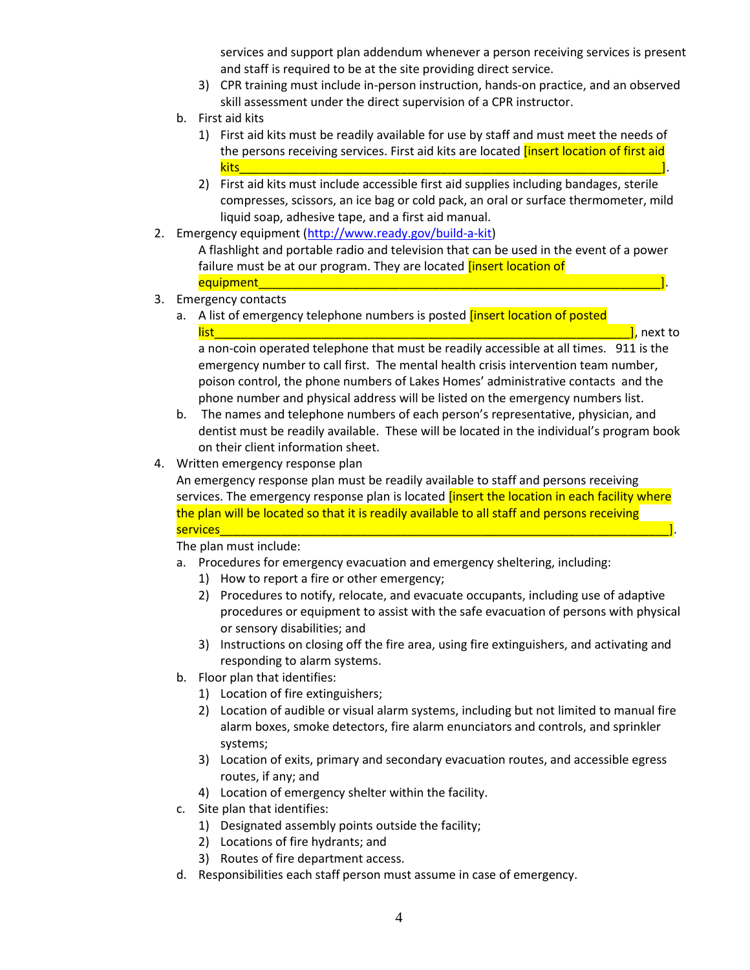services and support plan addendum whenever a person receiving services is present and staff is required to be at the site providing direct service.

- 3) CPR training must include in-person instruction, hands-on practice, and an observed skill assessment under the direct supervision of a CPR instructor.
- b. First aid kits
	- 1) First aid kits must be readily available for use by staff and must meet the needs of the persons receiving services. First aid kits are located linsert location of first aid kits\_\_\_\_\_\_\_\_\_\_\_\_\_\_\_\_\_\_\_\_\_\_\_\_\_\_\_\_\_\_\_\_\_\_\_\_\_\_\_\_\_\_\_\_\_\_\_\_\_\_\_\_\_\_\_\_\_\_\_\_\_\_\_].
	- 2) First aid kits must include accessible first aid supplies including bandages, sterile compresses, scissors, an ice bag or cold pack, an oral or surface thermometer, mild liquid soap, adhesive tape, and a first aid manual.
- 2. Emergency equipment [\(http://www.ready.gov/build-a-kit\)](http://www.ready.gov/build-a-kit)

A flashlight and portable radio and television that can be used in the event of a power failure must be at our program. They are located *[insert location of* equipment\_\_\_\_\_\_\_\_\_\_\_\_\_\_\_\_\_\_\_\_\_\_\_\_\_\_\_\_\_\_\_\_\_\_\_\_\_\_\_\_\_\_\_\_\_\_\_\_\_\_\_\_\_\_\_\_\_\_\_\_].

- 3. Emergency contacts
	- a. A list of emergency telephone numbers is posted *linsert location of posted*  $\overline{\mathsf{list}}$  and  $\overline{\mathsf{list}}$  are to  $\overline{\mathsf{list}}$  and  $\overline{\mathsf{list}}$  are to  $\overline{\mathsf{list}}$

a non-coin operated telephone that must be readily accessible at all times. 911 is the emergency number to call first. The mental health crisis intervention team number, poison control, the phone numbers of Lakes Homes' administrative contacts and the phone number and physical address will be listed on the emergency numbers list.

- b. The names and telephone numbers of each person's representative, physician, and dentist must be readily available. These will be located in the individual's program book on their client information sheet.
- 4. Written emergency response plan

An emergency response plan must be readily available to staff and persons receiving services. The emergency response plan is located *[insert the location in each facility where* the plan will be located so that it is readily available to all staff and persons receiving services\_\_\_\_\_\_\_\_\_\_\_\_\_\_\_\_\_\_\_\_\_\_\_\_\_\_\_\_\_\_\_\_\_\_\_\_\_\_\_\_\_\_\_\_\_\_\_\_\_\_\_\_\_\_\_\_\_\_\_\_\_\_\_\_\_\_\_].

The plan must include:

- a. Procedures for emergency evacuation and emergency sheltering, including:
	- 1) How to report a fire or other emergency;
	- 2) Procedures to notify, relocate, and evacuate occupants, including use of adaptive procedures or equipment to assist with the safe evacuation of persons with physical or sensory disabilities; and
	- 3) Instructions on closing off the fire area, using fire extinguishers, and activating and responding to alarm systems.
- b. Floor plan that identifies:
	- 1) Location of fire extinguishers;
	- 2) Location of audible or visual alarm systems, including but not limited to manual fire alarm boxes, smoke detectors, fire alarm enunciators and controls, and sprinkler systems;
	- 3) Location of exits, primary and secondary evacuation routes, and accessible egress routes, if any; and
	- 4) Location of emergency shelter within the facility.
- c. Site plan that identifies:
	- 1) Designated assembly points outside the facility;
	- 2) Locations of fire hydrants; and
	- 3) Routes of fire department access.
- d. Responsibilities each staff person must assume in case of emergency.